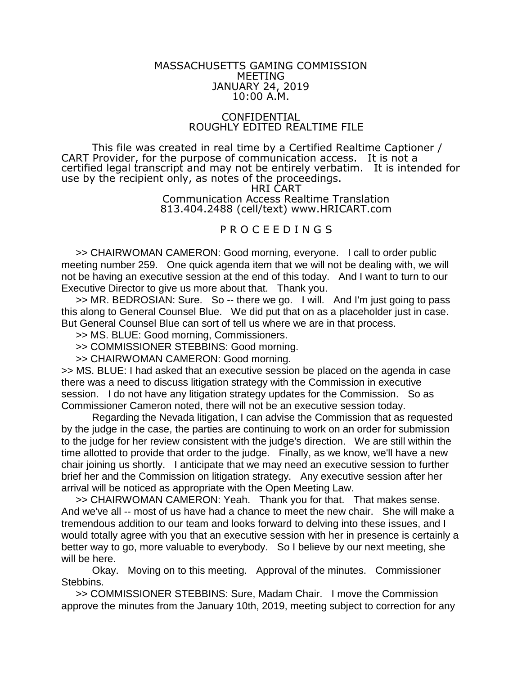## MASSACHUSETTS GAMING COMMISSION MEETING JANUARY 24, 2019 10:00 A.M.

## CONFIDENTIAL ROUGHLY EDITED REALTIME FILE

This file was created in real time by a Certified Realtime Captioner / CART Provider, for the purpose of communication access. It is not a certified legal transcript and may not be entirely verbatim. It is intended for use by the recipient only, as notes of the proceedings.

HRI CART Communication Access Realtime Translation 813.404.2488 (cell/text) www.HRICART.com

## P R O C E E D I N G S

>> CHAIRWOMAN CAMERON: Good morning, everyone. I call to order public meeting number 259. One quick agenda item that we will not be dealing with, we will not be having an executive session at the end of this today. And I want to turn to our Executive Director to give us more about that. Thank you.

>> MR. BEDROSIAN: Sure. So -- there we go. I will. And I'm just going to pass this along to General Counsel Blue. We did put that on as a placeholder just in case. But General Counsel Blue can sort of tell us where we are in that process.

>> MS. BLUE: Good morning, Commissioners.

>> COMMISSIONER STEBBINS: Good morning.

>> CHAIRWOMAN CAMERON: Good morning.

>> MS. BLUE: I had asked that an executive session be placed on the agenda in case there was a need to discuss litigation strategy with the Commission in executive session. I do not have any litigation strategy updates for the Commission. So as Commissioner Cameron noted, there will not be an executive session today.

Regarding the Nevada litigation, I can advise the Commission that as requested by the judge in the case, the parties are continuing to work on an order for submission to the judge for her review consistent with the judge's direction. We are still within the time allotted to provide that order to the judge. Finally, as we know, we'll have a new chair joining us shortly. I anticipate that we may need an executive session to further brief her and the Commission on litigation strategy. Any executive session after her arrival will be noticed as appropriate with the Open Meeting Law.

>> CHAIRWOMAN CAMERON: Yeah. Thank you for that. That makes sense. And we've all -- most of us have had a chance to meet the new chair. She will make a tremendous addition to our team and looks forward to delving into these issues, and I would totally agree with you that an executive session with her in presence is certainly a better way to go, more valuable to everybody. So I believe by our next meeting, she will be here.

Okay. Moving on to this meeting. Approval of the minutes. Commissioner Stebbins.

>> COMMISSIONER STEBBINS: Sure, Madam Chair. I move the Commission approve the minutes from the January 10th, 2019, meeting subject to correction for any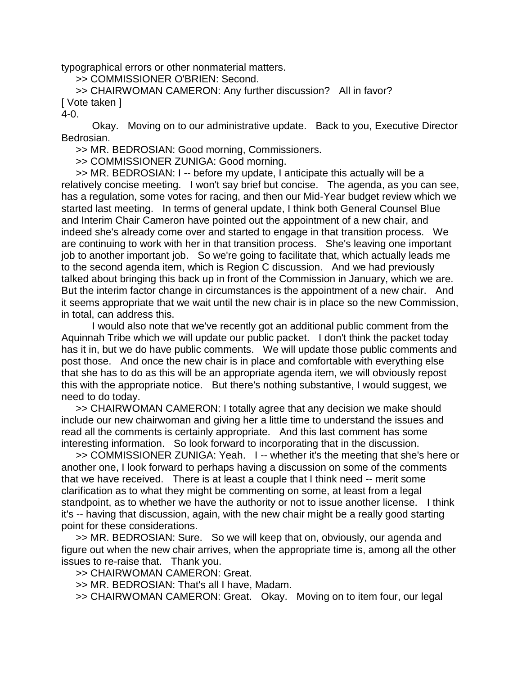typographical errors or other nonmaterial matters.

>> COMMISSIONER O'BRIEN: Second.

>> CHAIRWOMAN CAMERON: Any further discussion? All in favor? [ Vote taken ]

 $4 - 0$ .

Okay. Moving on to our administrative update. Back to you, Executive Director Bedrosian.

>> MR. BEDROSIAN: Good morning, Commissioners.

>> COMMISSIONER ZUNIGA: Good morning.

>> MR. BEDROSIAN: I -- before my update, I anticipate this actually will be a relatively concise meeting. I won't say brief but concise. The agenda, as you can see, has a regulation, some votes for racing, and then our Mid-Year budget review which we started last meeting. In terms of general update, I think both General Counsel Blue and Interim Chair Cameron have pointed out the appointment of a new chair, and indeed she's already come over and started to engage in that transition process. We are continuing to work with her in that transition process. She's leaving one important job to another important job. So we're going to facilitate that, which actually leads me to the second agenda item, which is Region C discussion. And we had previously talked about bringing this back up in front of the Commission in January, which we are. But the interim factor change in circumstances is the appointment of a new chair. And it seems appropriate that we wait until the new chair is in place so the new Commission, in total, can address this.

I would also note that we've recently got an additional public comment from the Aquinnah Tribe which we will update our public packet. I don't think the packet today has it in, but we do have public comments. We will update those public comments and post those. And once the new chair is in place and comfortable with everything else that she has to do as this will be an appropriate agenda item, we will obviously repost this with the appropriate notice. But there's nothing substantive, I would suggest, we need to do today.

>> CHAIRWOMAN CAMERON: I totally agree that any decision we make should include our new chairwoman and giving her a little time to understand the issues and read all the comments is certainly appropriate. And this last comment has some interesting information. So look forward to incorporating that in the discussion.

>> COMMISSIONER ZUNIGA: Yeah. I -- whether it's the meeting that she's here or another one, I look forward to perhaps having a discussion on some of the comments that we have received. There is at least a couple that I think need -- merit some clarification as to what they might be commenting on some, at least from a legal standpoint, as to whether we have the authority or not to issue another license. I think it's -- having that discussion, again, with the new chair might be a really good starting point for these considerations.

>> MR. BEDROSIAN: Sure. So we will keep that on, obviously, our agenda and figure out when the new chair arrives, when the appropriate time is, among all the other issues to re-raise that. Thank you.

>> CHAIRWOMAN CAMERON: Great.

>> MR. BEDROSIAN: That's all I have, Madam.

>> CHAIRWOMAN CAMERON: Great. Okay. Moving on to item four, our legal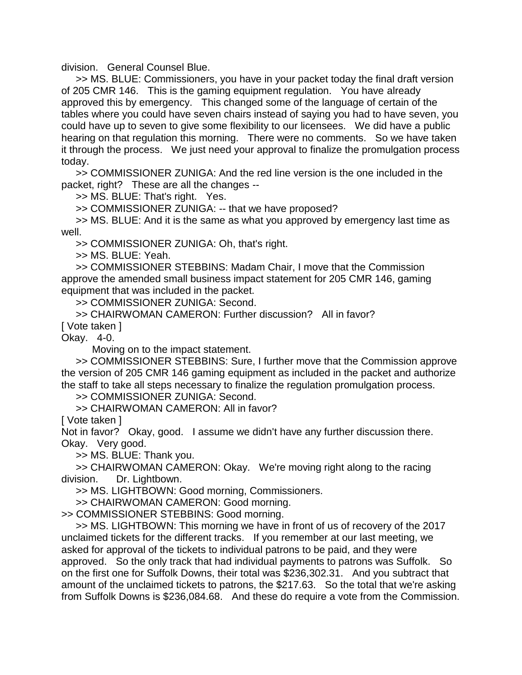division. General Counsel Blue.

>> MS. BLUE: Commissioners, you have in your packet today the final draft version of 205 CMR 146. This is the gaming equipment regulation. You have already approved this by emergency. This changed some of the language of certain of the tables where you could have seven chairs instead of saying you had to have seven, you could have up to seven to give some flexibility to our licensees. We did have a public hearing on that regulation this morning. There were no comments. So we have taken it through the process. We just need your approval to finalize the promulgation process today.

>> COMMISSIONER ZUNIGA: And the red line version is the one included in the packet, right? These are all the changes --

>> MS. BLUE: That's right. Yes.

>> COMMISSIONER ZUNIGA: -- that we have proposed?

>> MS. BLUE: And it is the same as what you approved by emergency last time as well.

>> COMMISSIONER ZUNIGA: Oh, that's right.

>> MS. BLUE: Yeah.

>> COMMISSIONER STEBBINS: Madam Chair, I move that the Commission approve the amended small business impact statement for 205 CMR 146, gaming equipment that was included in the packet.

>> COMMISSIONER ZUNIGA: Second.

>> CHAIRWOMAN CAMERON: Further discussion? All in favor?

[ Vote taken ]

Okay. 4-0.

Moving on to the impact statement.

>> COMMISSIONER STEBBINS: Sure, I further move that the Commission approve the version of 205 CMR 146 gaming equipment as included in the packet and authorize the staff to take all steps necessary to finalize the regulation promulgation process.

>> COMMISSIONER ZUNIGA: Second.

>> CHAIRWOMAN CAMERON: All in favor?

[ Vote taken ]

Not in favor? Okay, good. I assume we didn't have any further discussion there. Okay. Very good.

>> MS. BLUE: Thank you.

>> CHAIRWOMAN CAMERON: Okay. We're moving right along to the racing division. Dr. Lightbown.

>> MS. LIGHTBOWN: Good morning, Commissioners.

>> CHAIRWOMAN CAMERON: Good morning.

>> COMMISSIONER STEBBINS: Good morning.

>> MS. LIGHTBOWN: This morning we have in front of us of recovery of the 2017 unclaimed tickets for the different tracks. If you remember at our last meeting, we asked for approval of the tickets to individual patrons to be paid, and they were approved. So the only track that had individual payments to patrons was Suffolk. So on the first one for Suffolk Downs, their total was \$236,302.31. And you subtract that amount of the unclaimed tickets to patrons, the \$217.63. So the total that we're asking from Suffolk Downs is \$236,084.68. And these do require a vote from the Commission.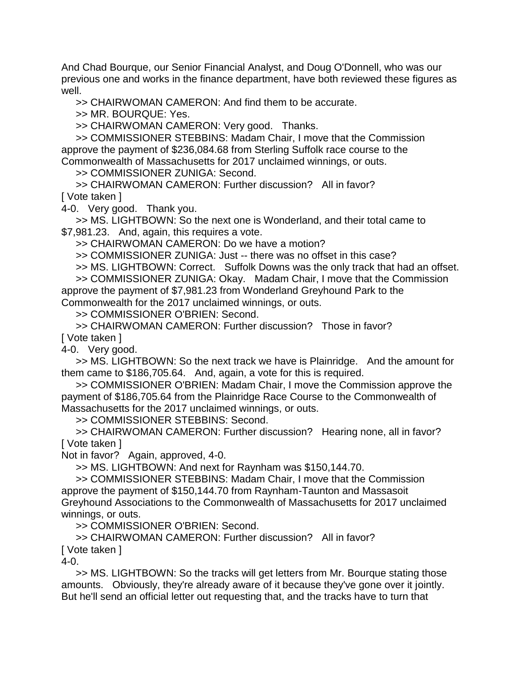And Chad Bourque, our Senior Financial Analyst, and Doug O'Donnell, who was our previous one and works in the finance department, have both reviewed these figures as well.

>> CHAIRWOMAN CAMERON: And find them to be accurate.

>> MR. BOURQUE: Yes.

>> CHAIRWOMAN CAMERON: Very good. Thanks.

>> COMMISSIONER STEBBINS: Madam Chair, I move that the Commission approve the payment of \$236,084.68 from Sterling Suffolk race course to the Commonwealth of Massachusetts for 2017 unclaimed winnings, or outs.

>> COMMISSIONER ZUNIGA: Second.

>> CHAIRWOMAN CAMERON: Further discussion? All in favor? [ Vote taken ]

4-0. Very good. Thank you.

>> MS. LIGHTBOWN: So the next one is Wonderland, and their total came to \$7,981.23. And, again, this requires a vote.

>> CHAIRWOMAN CAMERON: Do we have a motion?

>> COMMISSIONER ZUNIGA: Just -- there was no offset in this case?

>> MS. LIGHTBOWN: Correct. Suffolk Downs was the only track that had an offset.

>> COMMISSIONER ZUNIGA: Okay. Madam Chair, I move that the Commission approve the payment of \$7,981.23 from Wonderland Greyhound Park to the Commonwealth for the 2017 unclaimed winnings, or outs.

>> COMMISSIONER O'BRIEN: Second.

>> CHAIRWOMAN CAMERON: Further discussion? Those in favor? [ Vote taken ]

4-0. Very good.

>> MS. LIGHTBOWN: So the next track we have is Plainridge. And the amount for them came to \$186,705.64. And, again, a vote for this is required.

>> COMMISSIONER O'BRIEN: Madam Chair, I move the Commission approve the payment of \$186,705.64 from the Plainridge Race Course to the Commonwealth of Massachusetts for the 2017 unclaimed winnings, or outs.

>> COMMISSIONER STEBBINS: Second.

>> CHAIRWOMAN CAMERON: Further discussion? Hearing none, all in favor? [ Vote taken ]

Not in favor? Again, approved, 4-0.

>> MS. LIGHTBOWN: And next for Raynham was \$150,144.70.

>> COMMISSIONER STEBBINS: Madam Chair, I move that the Commission approve the payment of \$150,144.70 from Raynham-Taunton and Massasoit Greyhound Associations to the Commonwealth of Massachusetts for 2017 unclaimed winnings, or outs.

>> COMMISSIONER O'BRIEN: Second.

>> CHAIRWOMAN CAMERON: Further discussion? All in favor? [ Vote taken ]

4-0.

>> MS. LIGHTBOWN: So the tracks will get letters from Mr. Bourque stating those amounts. Obviously, they're already aware of it because they've gone over it jointly. But he'll send an official letter out requesting that, and the tracks have to turn that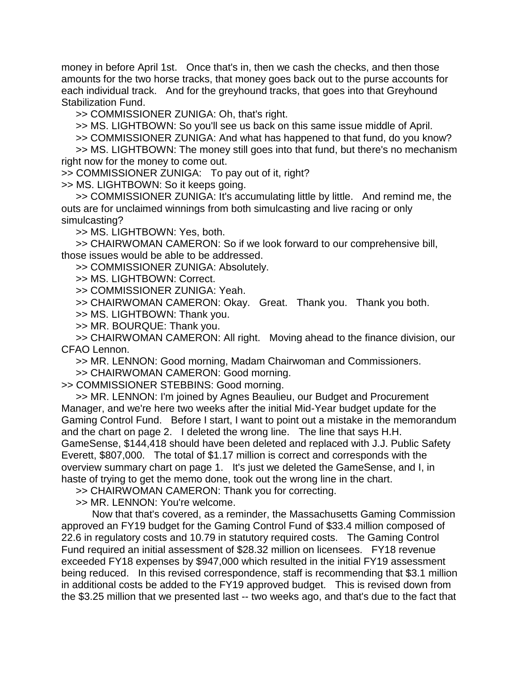money in before April 1st. Once that's in, then we cash the checks, and then those amounts for the two horse tracks, that money goes back out to the purse accounts for each individual track. And for the greyhound tracks, that goes into that Greyhound Stabilization Fund.

>> COMMISSIONER ZUNIGA: Oh, that's right.

>> MS. LIGHTBOWN: So you'll see us back on this same issue middle of April.

>> COMMISSIONER ZUNIGA: And what has happened to that fund, do you know?

>> MS. LIGHTBOWN: The money still goes into that fund, but there's no mechanism right now for the money to come out.

>> COMMISSIONER ZUNIGA: To pay out of it, right?

>> MS. LIGHTBOWN: So it keeps going.

>> COMMISSIONER ZUNIGA: It's accumulating little by little. And remind me, the outs are for unclaimed winnings from both simulcasting and live racing or only simulcasting?

>> MS. LIGHTBOWN: Yes, both.

>> CHAIRWOMAN CAMERON: So if we look forward to our comprehensive bill, those issues would be able to be addressed.

>> COMMISSIONER ZUNIGA: Absolutely.

>> MS. LIGHTBOWN: Correct.

>> COMMISSIONER ZUNIGA: Yeah.

>> CHAIRWOMAN CAMERON: Okay. Great. Thank you. Thank you both.

>> MS. LIGHTBOWN: Thank you.

>> MR. BOURQUE: Thank you.

>> CHAIRWOMAN CAMERON: All right. Moving ahead to the finance division, our CFAO Lennon.

>> MR. LENNON: Good morning, Madam Chairwoman and Commissioners.

>> CHAIRWOMAN CAMERON: Good morning.

>> COMMISSIONER STEBBINS: Good morning.

>> MR. LENNON: I'm joined by Agnes Beaulieu, our Budget and Procurement Manager, and we're here two weeks after the initial Mid-Year budget update for the Gaming Control Fund. Before I start, I want to point out a mistake in the memorandum and the chart on page 2. I deleted the wrong line. The line that says H.H. GameSense, \$144,418 should have been deleted and replaced with J.J. Public Safety Everett, \$807,000. The total of \$1.17 million is correct and corresponds with the overview summary chart on page 1. It's just we deleted the GameSense, and I, in haste of trying to get the memo done, took out the wrong line in the chart.

>> CHAIRWOMAN CAMERON: Thank you for correcting.

>> MR. LENNON: You're welcome.

Now that that's covered, as a reminder, the Massachusetts Gaming Commission approved an FY19 budget for the Gaming Control Fund of \$33.4 million composed of 22.6 in regulatory costs and 10.79 in statutory required costs. The Gaming Control Fund required an initial assessment of \$28.32 million on licensees. FY18 revenue exceeded FY18 expenses by \$947,000 which resulted in the initial FY19 assessment being reduced. In this revised correspondence, staff is recommending that \$3.1 million in additional costs be added to the FY19 approved budget. This is revised down from the \$3.25 million that we presented last -- two weeks ago, and that's due to the fact that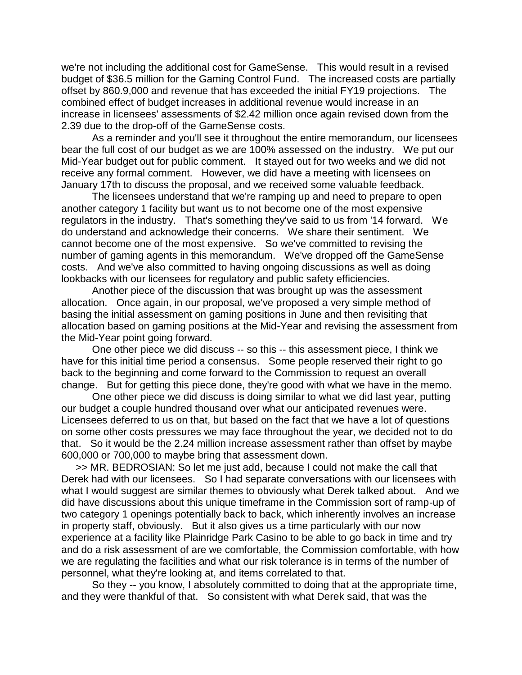we're not including the additional cost for GameSense. This would result in a revised budget of \$36.5 million for the Gaming Control Fund. The increased costs are partially offset by 860.9,000 and revenue that has exceeded the initial FY19 projections. The combined effect of budget increases in additional revenue would increase in an increase in licensees' assessments of \$2.42 million once again revised down from the 2.39 due to the drop-off of the GameSense costs.

As a reminder and you'll see it throughout the entire memorandum, our licensees bear the full cost of our budget as we are 100% assessed on the industry. We put our Mid-Year budget out for public comment. It stayed out for two weeks and we did not receive any formal comment. However, we did have a meeting with licensees on January 17th to discuss the proposal, and we received some valuable feedback.

The licensees understand that we're ramping up and need to prepare to open another category 1 facility but want us to not become one of the most expensive regulators in the industry. That's something they've said to us from '14 forward. We do understand and acknowledge their concerns. We share their sentiment. We cannot become one of the most expensive. So we've committed to revising the number of gaming agents in this memorandum. We've dropped off the GameSense costs. And we've also committed to having ongoing discussions as well as doing lookbacks with our licensees for regulatory and public safety efficiencies.

Another piece of the discussion that was brought up was the assessment allocation. Once again, in our proposal, we've proposed a very simple method of basing the initial assessment on gaming positions in June and then revisiting that allocation based on gaming positions at the Mid-Year and revising the assessment from the Mid-Year point going forward.

One other piece we did discuss -- so this -- this assessment piece, I think we have for this initial time period a consensus. Some people reserved their right to go back to the beginning and come forward to the Commission to request an overall change. But for getting this piece done, they're good with what we have in the memo.

One other piece we did discuss is doing similar to what we did last year, putting our budget a couple hundred thousand over what our anticipated revenues were. Licensees deferred to us on that, but based on the fact that we have a lot of questions on some other costs pressures we may face throughout the year, we decided not to do that. So it would be the 2.24 million increase assessment rather than offset by maybe 600,000 or 700,000 to maybe bring that assessment down.

>> MR. BEDROSIAN: So let me just add, because I could not make the call that Derek had with our licensees. So I had separate conversations with our licensees with what I would suggest are similar themes to obviously what Derek talked about. And we did have discussions about this unique timeframe in the Commission sort of ramp-up of two category 1 openings potentially back to back, which inherently involves an increase in property staff, obviously. But it also gives us a time particularly with our now experience at a facility like Plainridge Park Casino to be able to go back in time and try and do a risk assessment of are we comfortable, the Commission comfortable, with how we are regulating the facilities and what our risk tolerance is in terms of the number of personnel, what they're looking at, and items correlated to that.

So they -- you know, I absolutely committed to doing that at the appropriate time, and they were thankful of that. So consistent with what Derek said, that was the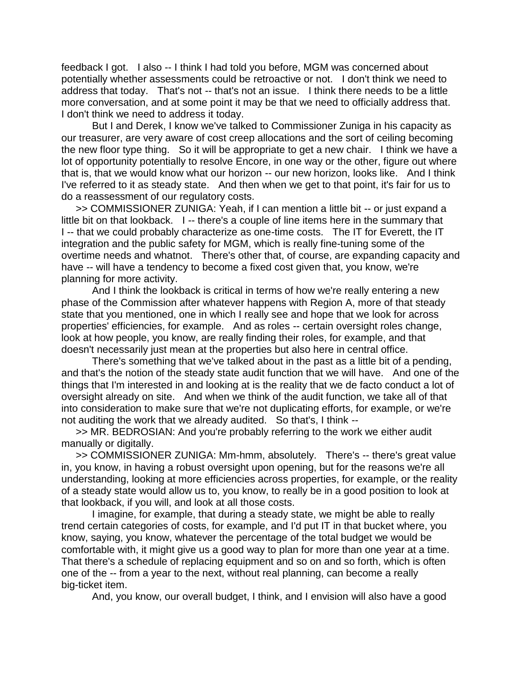feedback I got. I also -- I think I had told you before, MGM was concerned about potentially whether assessments could be retroactive or not. I don't think we need to address that today. That's not -- that's not an issue. I think there needs to be a little more conversation, and at some point it may be that we need to officially address that. I don't think we need to address it today.

But I and Derek, I know we've talked to Commissioner Zuniga in his capacity as our treasurer, are very aware of cost creep allocations and the sort of ceiling becoming the new floor type thing. So it will be appropriate to get a new chair. I think we have a lot of opportunity potentially to resolve Encore, in one way or the other, figure out where that is, that we would know what our horizon -- our new horizon, looks like. And I think I've referred to it as steady state. And then when we get to that point, it's fair for us to do a reassessment of our regulatory costs.

>> COMMISSIONER ZUNIGA: Yeah, if I can mention a little bit -- or just expand a little bit on that lookback. I -- there's a couple of line items here in the summary that I -- that we could probably characterize as one-time costs. The IT for Everett, the IT integration and the public safety for MGM, which is really fine-tuning some of the overtime needs and whatnot. There's other that, of course, are expanding capacity and have -- will have a tendency to become a fixed cost given that, you know, we're planning for more activity.

And I think the lookback is critical in terms of how we're really entering a new phase of the Commission after whatever happens with Region A, more of that steady state that you mentioned, one in which I really see and hope that we look for across properties' efficiencies, for example. And as roles -- certain oversight roles change, look at how people, you know, are really finding their roles, for example, and that doesn't necessarily just mean at the properties but also here in central office.

There's something that we've talked about in the past as a little bit of a pending, and that's the notion of the steady state audit function that we will have. And one of the things that I'm interested in and looking at is the reality that we de facto conduct a lot of oversight already on site. And when we think of the audit function, we take all of that into consideration to make sure that we're not duplicating efforts, for example, or we're not auditing the work that we already audited. So that's, I think --

>> MR. BEDROSIAN: And you're probably referring to the work we either audit manually or digitally.

>> COMMISSIONER ZUNIGA: Mm-hmm, absolutely. There's -- there's great value in, you know, in having a robust oversight upon opening, but for the reasons we're all understanding, looking at more efficiencies across properties, for example, or the reality of a steady state would allow us to, you know, to really be in a good position to look at that lookback, if you will, and look at all those costs.

I imagine, for example, that during a steady state, we might be able to really trend certain categories of costs, for example, and I'd put IT in that bucket where, you know, saying, you know, whatever the percentage of the total budget we would be comfortable with, it might give us a good way to plan for more than one year at a time. That there's a schedule of replacing equipment and so on and so forth, which is often one of the -- from a year to the next, without real planning, can become a really big-ticket item.

And, you know, our overall budget, I think, and I envision will also have a good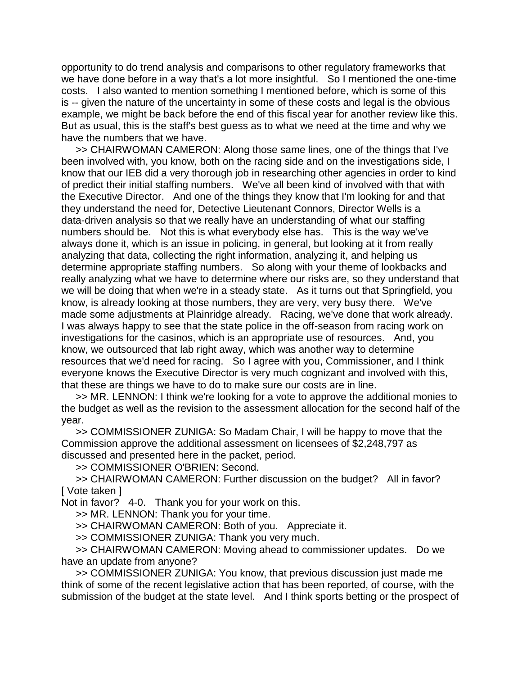opportunity to do trend analysis and comparisons to other regulatory frameworks that we have done before in a way that's a lot more insightful. So I mentioned the one-time costs. I also wanted to mention something I mentioned before, which is some of this is -- given the nature of the uncertainty in some of these costs and legal is the obvious example, we might be back before the end of this fiscal year for another review like this. But as usual, this is the staff's best guess as to what we need at the time and why we have the numbers that we have.

>> CHAIRWOMAN CAMERON: Along those same lines, one of the things that I've been involved with, you know, both on the racing side and on the investigations side, I know that our IEB did a very thorough job in researching other agencies in order to kind of predict their initial staffing numbers. We've all been kind of involved with that with the Executive Director. And one of the things they know that I'm looking for and that they understand the need for, Detective Lieutenant Connors, Director Wells is a data-driven analysis so that we really have an understanding of what our staffing numbers should be. Not this is what everybody else has. This is the way we've always done it, which is an issue in policing, in general, but looking at it from really analyzing that data, collecting the right information, analyzing it, and helping us determine appropriate staffing numbers. So along with your theme of lookbacks and really analyzing what we have to determine where our risks are, so they understand that we will be doing that when we're in a steady state. As it turns out that Springfield, you know, is already looking at those numbers, they are very, very busy there. We've made some adjustments at Plainridge already. Racing, we've done that work already. I was always happy to see that the state police in the off-season from racing work on investigations for the casinos, which is an appropriate use of resources. And, you know, we outsourced that lab right away, which was another way to determine resources that we'd need for racing. So I agree with you, Commissioner, and I think everyone knows the Executive Director is very much cognizant and involved with this, that these are things we have to do to make sure our costs are in line.

>> MR. LENNON: I think we're looking for a vote to approve the additional monies to the budget as well as the revision to the assessment allocation for the second half of the year.

>> COMMISSIONER ZUNIGA: So Madam Chair, I will be happy to move that the Commission approve the additional assessment on licensees of \$2,248,797 as discussed and presented here in the packet, period.

>> COMMISSIONER O'BRIEN: Second.

>> CHAIRWOMAN CAMERON: Further discussion on the budget? All in favor? [ Vote taken ]

Not in favor? 4-0. Thank you for your work on this.

>> MR. LENNON: Thank you for your time.

>> CHAIRWOMAN CAMERON: Both of you. Appreciate it.

>> COMMISSIONER ZUNIGA: Thank you very much.

>> CHAIRWOMAN CAMERON: Moving ahead to commissioner updates. Do we have an update from anyone?

>> COMMISSIONER ZUNIGA: You know, that previous discussion just made me think of some of the recent legislative action that has been reported, of course, with the submission of the budget at the state level. And I think sports betting or the prospect of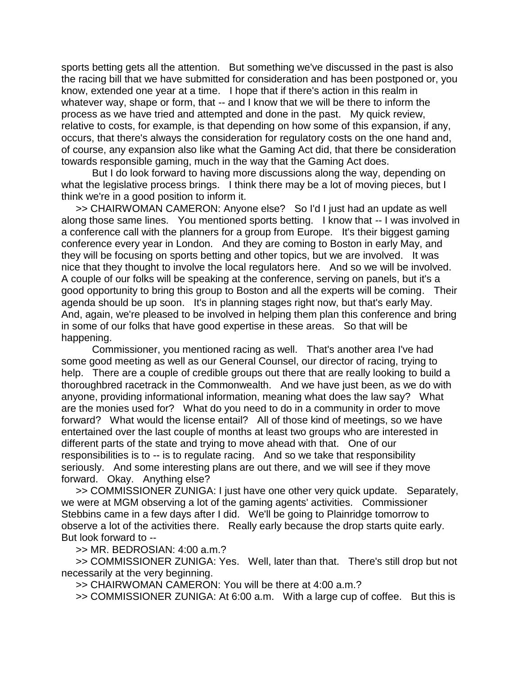sports betting gets all the attention. But something we've discussed in the past is also the racing bill that we have submitted for consideration and has been postponed or, you know, extended one year at a time. I hope that if there's action in this realm in whatever way, shape or form, that -- and I know that we will be there to inform the process as we have tried and attempted and done in the past. My quick review, relative to costs, for example, is that depending on how some of this expansion, if any, occurs, that there's always the consideration for regulatory costs on the one hand and, of course, any expansion also like what the Gaming Act did, that there be consideration towards responsible gaming, much in the way that the Gaming Act does.

But I do look forward to having more discussions along the way, depending on what the legislative process brings. I think there may be a lot of moving pieces, but I think we're in a good position to inform it.

>> CHAIRWOMAN CAMERON: Anyone else? So I'd I just had an update as well along those same lines. You mentioned sports betting. I know that -- I was involved in a conference call with the planners for a group from Europe. It's their biggest gaming conference every year in London. And they are coming to Boston in early May, and they will be focusing on sports betting and other topics, but we are involved. It was nice that they thought to involve the local regulators here. And so we will be involved. A couple of our folks will be speaking at the conference, serving on panels, but it's a good opportunity to bring this group to Boston and all the experts will be coming. Their agenda should be up soon. It's in planning stages right now, but that's early May. And, again, we're pleased to be involved in helping them plan this conference and bring in some of our folks that have good expertise in these areas. So that will be happening.

Commissioner, you mentioned racing as well. That's another area I've had some good meeting as well as our General Counsel, our director of racing, trying to help. There are a couple of credible groups out there that are really looking to build a thoroughbred racetrack in the Commonwealth. And we have just been, as we do with anyone, providing informational information, meaning what does the law say? What are the monies used for? What do you need to do in a community in order to move forward? What would the license entail? All of those kind of meetings, so we have entertained over the last couple of months at least two groups who are interested in different parts of the state and trying to move ahead with that. One of our responsibilities is to -- is to regulate racing. And so we take that responsibility seriously. And some interesting plans are out there, and we will see if they move forward. Okay. Anything else?

>> COMMISSIONER ZUNIGA: I just have one other very quick update. Separately, we were at MGM observing a lot of the gaming agents' activities. Commissioner Stebbins came in a few days after I did. We'll be going to Plainridge tomorrow to observe a lot of the activities there. Really early because the drop starts quite early. But look forward to --

>> MR. BEDROSIAN: 4:00 a.m.?

>> COMMISSIONER ZUNIGA: Yes. Well, later than that. There's still drop but not necessarily at the very beginning.

>> CHAIRWOMAN CAMERON: You will be there at 4:00 a.m.?

>> COMMISSIONER ZUNIGA: At 6:00 a.m. With a large cup of coffee. But this is